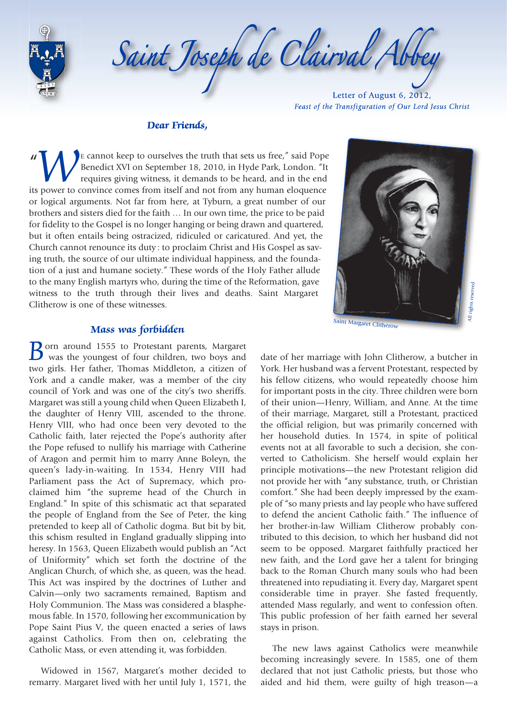

Saint Joseph de Clairval Abb

Letter of August 6, 2012, *Feast of the Transfiguration of Our Lord Jesus Christ*

#### *Dear Friends,*

" *W*E cannot keep to ourselves the truth that sets us free," said Pope<br>Benedict XVI on September 18, 2010, in Hyde Park, London. "It<br>requires giving witness, it demands to be heard, and in the end<br>its power to convince come Benedict XVI on September 18, 2010, in Hyde Park, London. "It requires giving witness, it demands to be heard, and in the end or logical arguments. Not far from here, at Tyburn, a great number of our brothers and sisters died for the faith … In our own time, the price to be paid for fidelity to the Gospel is no longer hanging or being drawn and quartered, but it often entails being ostracized, ridiculed or caricatured. And yet, the Church cannot renounce its duty : to proclaim Christ and His Gospel as saving truth, the source of our ultimate individual happiness, and the foundation of a just and humane society." These words of the Holy Father allude to the many English martyrs who, during the time of the Reformation, gave witness to the truth through their lives and deaths. Saint Margaret Clitherow is one of these witnesses.



**B**orn around 1555 to Protestant parents, Margaret was the youngest of four children, two boys and two girls. Her father, Thomas Middleton, a citizen of York and a candle maker, was a member of the city council of York and was one of the city's two sheriffs. Margaret was still a young child when Queen Elizabeth I, the daughter of Henry VIII, ascended to the throne. Henry VIII, who had once been very devoted to the Catholic faith, later rejected the Pope's authority after the Pope refused to nullify his marriage with Catherine of Aragon and permit him to marry Anne Boleyn, the queen's lady-in-waiting. In 1534, Henry VIII had Parliament pass the Act of Supremacy, which proclaimed him "the supreme head of the Church in England." In spite of this schismatic act that separated the people of England from the See of Peter, the king pretended to keep all of Catholic dogma. But bit by bit, this schism resulted in England gradually slipping into heresy. In 1563, Queen Elizabeth would publish an "Act of Uniformity" which set forth the doctrine of the Anglican Church, of which she, as queen, was the head. This Act was inspired by the doctrines of Luther and Calvin—only two sacraments remained, Baptism and Holy Communion. The Mass was considered a blasphemous fable. In 1570, following her excommunication by Pope Saint Pius V, the queen enacted a series of laws against Catholics. From then on, celebrating the Catholic Mass, or even attending it, was forbidden.

Widowed in 1567, Margaret's mother decided to remarry. Margaret lived with her until July 1, 1571, the

All rights reserved rights reserved Saint Margaret Clitherow date of her marriage with John Clitherow, a butcher in York. Her husband was a fervent Protestant, respected by his fellow citizens, who would repeatedly choose him for important posts in the city. Three children were born of their union—Henry, William, and Anne. At the time of their marriage, Margaret, still a Protestant, practiced the official religion, but was primarily concerned with her household duties. In 1574, in spite of political events not at all favorable to such a decision, she converted to Catholicism. She herself would explain her principle motivations—the new Protestant religion did not provide her with "any substance, truth, or Christian comfort." She had been deeply impressed by the example of "so many priests and lay people who have suffered to defend the ancient Catholic faith." The influence of her brother-in-law William Clitherow probably contributed to this decision, to which her husband did not seem to be opposed. Margaret faithfully practiced her new faith, and the Lord gave her a talent for bringing back to the Roman Church many souls who had been threatened into repudiating it. Every day, Margaret spent considerable time in prayer. She fasted frequently, attended Mass regularly, and went to confession often. This public profession of her faith earned her several stays in prison.

The new laws against Catholics were meanwhile becoming increasingly severe. In 1585, one of them declared that not just Catholic priests, but those who aided and hid them, were guilty of high treason—a

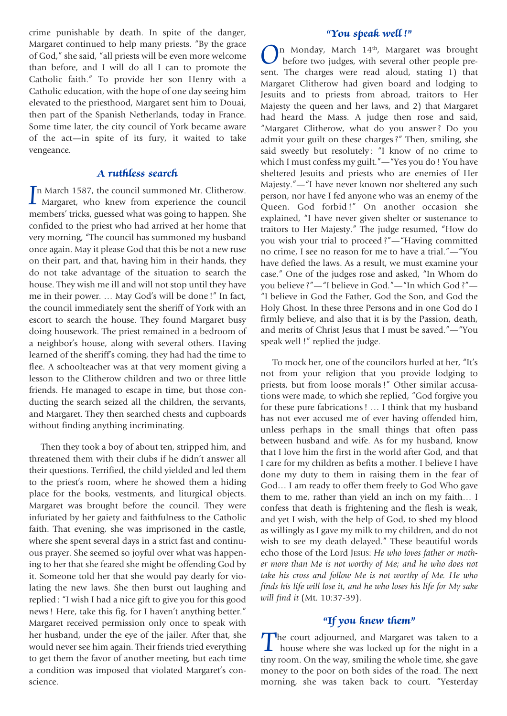crime punishable by death. In spite of the danger, Margaret continued to help many priests. "By the grace of God," she said, "all priests will be even more welcome than before, and I will do all I can to promote the Catholic faith." To provide her son Henry with a Catholic education, with the hope of one day seeing him elevated to the priesthood, Margaret sent him to Douai, then part of the Spanish Netherlands, today in France. Some time later, the city council of York became aware of the act—in spite of its fury, it waited to take vengeance.

## *A ruthless search*

In March 1587, the council summoned Mr. Clitherow.<br>
Margaret, who knew from experience the council<br>
members' tricks guessed what we going to bennen. She n March 1587, the council summoned Mr. Clitherow. members' tricks, guessed what was going to happen. She confided to the priest who had arrived at her home that very morning, "The council has summoned my husband once again. May it please God that this be not a new ruse on their part, and that, having him in their hands, they do not take advantage of the situation to search the house. They wish me ill and will not stop until they have me in their power. … May God's will be done !" In fact, the council immediately sent the sheriff of York with an escort to search the house. They found Margaret busy doing housework. The priest remained in a bedroom of a neighbor's house, along with several others. Having learned of the sheriff's coming, they had had the time to flee. A schoolteacher was at that very moment giving a lesson to the Clitherow children and two or three little friends. He managed to escape in time, but those conducting the search seized all the children, the servants, and Margaret. They then searched chests and cupboards without finding anything incriminating.

Then they took a boy of about ten, stripped him, and threatened them with their clubs if he didn't answer all their questions. Terrified, the child yielded and led them to the priest's room, where he showed them a hiding place for the books, vestments, and liturgical objects. Margaret was brought before the council. They were infuriated by her gaiety and faithfulness to the Catholic faith. That evening, she was imprisoned in the castle, where she spent several days in a strict fast and continuous prayer. She seemed so joyful over what was happening to her that she feared she might be offending God by it. Someone told her that she would pay dearly for violating the new laws. She then burst out laughing and replied : "I wish I had a nice gift to give you for this good news ! Here, take this fig, for I haven't anything better." Margaret received permission only once to speak with her husband, under the eye of the jailer. After that, she would never see him again. Their friends tried everything to get them the favor of another meeting, but each time a condition was imposed that violated Margaret's conscience.

## *"You speak well !"*

*O*n Monday, March 14th, Margaret was brought before two judges, with several other people present. The charges were read aloud, stating 1) that Margaret Clitherow had given board and lodging to Jesuits and to priests from abroad, traitors to Her Majesty the queen and her laws, and 2) that Margaret had heard the Mass. A judge then rose and said, "Margaret Clitherow, what do you answer ? Do you admit your guilt on these charges ?" Then, smiling, she said sweetly but resolutely: "I know of no crime to which I must confess my guilt."—"Yes you do ! You have sheltered Jesuits and priests who are enemies of Her Majesty."—"I have never known nor sheltered any such person, nor have I fed anyone who was an enemy of the Queen. God forbid !" On another occasion she explained, "I have never given shelter or sustenance to traitors to Her Majesty." The judge resumed, "How do you wish your trial to proceed ?"—"Having committed no crime, I see no reason for me to have a trial."—"You have defied the laws. As a result, we must examine your case." One of the judges rose and asked, "In Whom do you believe ?"—"I believe in God."—"In which God ?"— "I believe in God the Father, God the Son, and God the Holy Ghost. In these three Persons and in one God do I firmly believe, and also that it is by the Passion, death, and merits of Christ Jesus that I must be saved."—"You speak well !" replied the judge.

To mock her, one of the councilors hurled at her, "It's not from your religion that you provide lodging to priests, but from loose morals !" Other similar accusations were made, to which she replied, "God forgive you for these pure fabrications ! … I think that my husband has not ever accused me of ever having offended him, unless perhaps in the small things that often pass between husband and wife. As for my husband, know that I love him the first in the world after God, and that I care for my children as befits a mother. I believe I have done my duty to them in raising them in the fear of God… I am ready to offer them freely to God Who gave them to me, rather than yield an inch on my faith… I confess that death is frightening and the flesh is weak, and yet I wish, with the help of God, to shed my blood as willingly as I gave my milk to my children, and do not wish to see my death delayed." These beautiful words echo those of the Lord JESUS: *He who loves father or mother more than Me is not worthy of Me; and he who does not take his cross and follow Me is not worthy of Me. He who finds his life will lose it, and he who loses his life for My sake will find it* (Mt. 10:37-39).

## *"If you knew them"*

The court adjourned, and Margaret was taken to a house where she was locked up for the night in a tiny room. On the way, smiling the whole time, she gave money to the poor on both sides of the road. The next morning, she was taken back to court. "Yesterday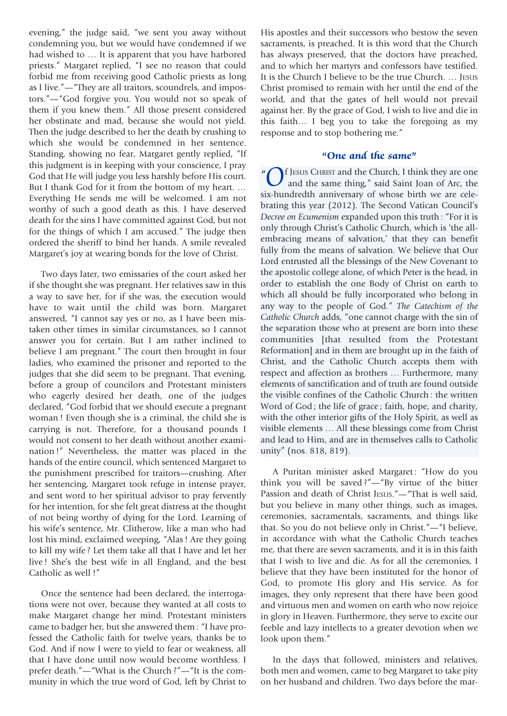evening," the judge said, "we sent you away without condemning you, but we would have condemned if we had wished to … It is apparent that you have harbored priests." Margaret replied, "I see no reason that could forbid me from receiving good Catholic priests as long as I live."—"They are all traitors, scoundrels, and impostors."—"God forgive you. You would not so speak of them if you knew them." All those present considered her obstinate and mad, because she would not yield. Then the judge described to her the death by crushing to which she would be condemned in her sentence. Standing, showing no fear, Margaret gently replied, "If this judgment is in keeping with your conscience, I pray God that He will judge you less harshly before His court. But I thank God for it from the bottom of my heart. … Everything He sends me will be welcomed. I am not worthy of such a good death as this. I have deserved death for the sins I have committed against God, but not for the things of which I am accused." The judge then ordered the sheriff to bind her hands. A smile revealed Margaret's joy at wearing bonds for the love of Christ.

Two days later, two emissaries of the court asked her if she thought she was pregnant. Her relatives saw in this a way to save her, for if she was, the execution would have to wait until the child was born. Margaret answered, "I cannot say yes or no, as I have been mistaken other times in similar circumstances, so I cannot answer you for certain. But I am rather inclined to believe I am pregnant." The court then brought in four ladies, who examined the prisoner and reported to the judges that she did seem to be pregnant. That evening, before a group of councilors and Protestant ministers who eagerly desired her death, one of the judges declared, "God forbid that we should execute a pregnant woman ! Even though she is a criminal, the child she is carrying is not. Therefore, for a thousand pounds I would not consent to her death without another examination !" Nevertheless, the matter was placed in the hands of the entire council, which sentenced Margaret to the punishment prescribed for traitors—crushing. After her sentencing, Margaret took refuge in intense prayer, and sent word to her spiritual advisor to pray fervently for her intention, for she felt great distress at the thought of not being worthy of dying for the Lord. Learning of his wife's sentence, Mr. Clitherow, like a man who had lost his mind, exclaimed weeping, "Alas ! Are they going to kill my wife ? Let them take all that I have and let her live ! She's the best wife in all England, and the best Catholic as well !"

Once the sentence had been declared, the interrogations were not over, because they wanted at all costs to make Margaret change her mind. Protestant ministers came to badger her, but she answered them : "I have professed the Catholic faith for twelve years, thanks be to God. And if now I were to yield to fear or weakness, all that I have done until now would become worthless. I prefer death."—"What is the Church ?"—"It is the community in which the true word of God, left by Christ to

His apostles and their successors who bestow the seven sacraments, is preached. It is this word that the Church has always preserved, that the doctors have preached, and to which her martyrs and confessors have testified. It is the Church I believe to be the true Church. … JESUS Christ promised to remain with her until the end of the world, and that the gates of hell would not prevail against her. By the grace of God, I wish to live and die in this faith… I beg you to take the foregoing as my response and to stop bothering me."

#### *"One and the same"*

" *O*f JESUS CHRIST and the Church, I think they are one<br>and the same thing," said Saint Joan of Arc, the<br>ix bundredth anniversary of whose birth we are cele and the same thing," said Saint Joan of Arc, the six-hundredth anniversary of whose birth we are celebrating this year (2012). The Second Vatican Council's *Decree on Ecumenism* expanded upon this truth : "For it is only through Christ's Catholic Church, which is 'the allembracing means of salvation,' that they can benefit fully from the means of salvation. We believe that Our Lord entrusted all the blessings of the New Covenant to the apostolic college alone, of which Peter is the head, in order to establish the one Body of Christ on earth to which all should be fully incorporated who belong in any way to the people of God." *The Catechism of the Catholic Church* adds, "one cannot charge with the sin of the separation those who at present are born into these communities [that resulted from the Protestant Reformation] and in them are brought up in the faith of Christ, and the Catholic Church accepts them with respect and affection as brothers … Furthermore, many elements of sanctification and of truth are found outside the visible confines of the Catholic Church : the written Word of God ; the life of grace ; faith, hope, and charity, with the other interior gifts of the Holy Spirit, as well as visible elements … All these blessings come from Christ and lead to Him, and are in themselves calls to Catholic unity" (nos. 818, 819).

A Puritan minister asked Margaret : "How do you think you will be saved ?"—"By virtue of the bitter Passion and death of Christ JESUS."—"That is well said, but you believe in many other things, such as images, ceremonies, sacramentals, sacraments, and things like that. So you do not believe only in Christ."—"I believe, in accordance with what the Catholic Church teaches me, that there are seven sacraments, and it is in this faith that I wish to live and die. As for all the ceremonies, I believe that they have been instituted for the honor of God, to promote His glory and His service. As for images, they only represent that there have been good and virtuous men and women on earth who now rejoice in glory in Heaven. Furthermore, they serve to excite our feeble and lazy intellects to a greater devotion when we look upon them."

In the days that followed, ministers and relatives, both men and women, came to beg Margaret to take pity on her husband and children. Two days before the mar